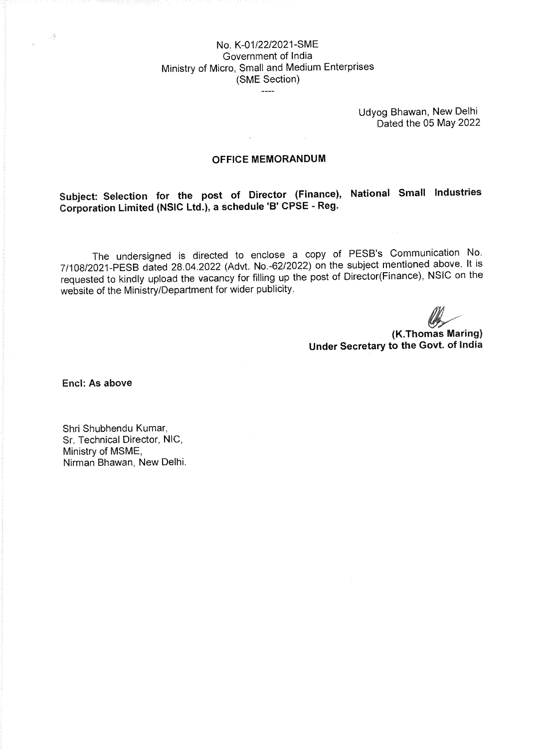## No. K-01/22/2021-SME Government of India Ministry of Micro, Small and Medium Enterprises (SME Section)

Udyog Bhawan, New Delhi Dated the 05 May 2022

#### **OFFICE MEMORANDUM**

**Subject: Selection for the post of Director (Finance), National Small Industries Corporation Limited (NSIC Ltd.), a schedule 'B' CPSE - Reg.** 

The undersigned is directed to enclose a copy of PESB's Communication No. 7/108/2021-PESB dated 28.04.2022 (Advt. No.-62/2022) on the subject mentioned above. It is requested to kindly upload the vacancy for filling up the post of Director(Finance), NSIC on the website of the Ministry/Department for wider publicity.

**(K.Thomas Maring) Under Secretary to the Govt. of India** 

**Encl: As above** 

 $\sim$ 

Shri Shubhendu Kumar, Sr. Technical Director, NIC, Ministry of MSME, Nirman Bhawan, New Delhi.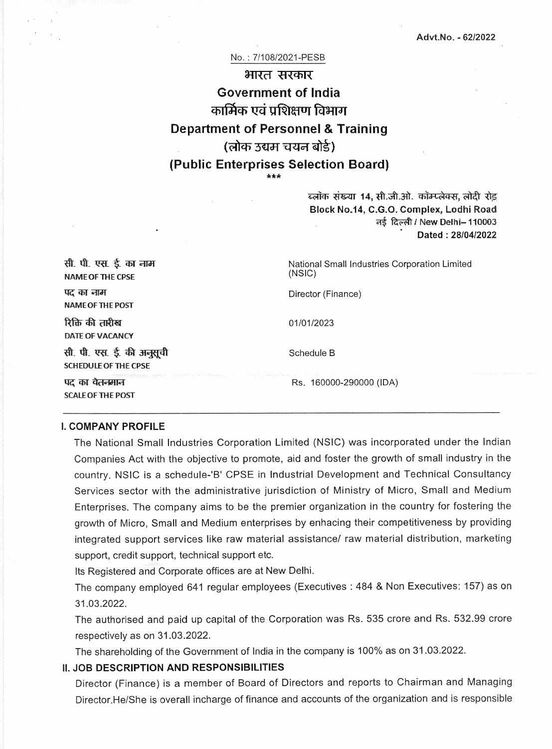#### No.: 7/108/2021-PESB

# भारत सरकार **Government of India**  कार्मिक एवं प्रशिक्षण विभाग **Department of Personnel & Training**  (लोक उद्यम चयन बोर्ड) (**Public Enterprises Selection Board**] \*\*\*

ब्लॉक संख्या 14, सी.जी.ओ. कॉम्प्लेक्स, लोदी र<u>ोड</u> **Block No.14, C.G.O. Complex, Lodhi Road**  नई दिल्ली / New Delhi- 110003 **Dated : 28/04/2022** 

| सी. पी. एस. ई. का नाम<br><b>NAME OF THE CPSE</b>                                                                                                                                    | National Small Industries Corporation Limited<br>(NSIC) |
|-------------------------------------------------------------------------------------------------------------------------------------------------------------------------------------|---------------------------------------------------------|
| पद का नाम<br><b>NAME OF THE POST</b>                                                                                                                                                | Director (Finance)                                      |
| रिक्ति की तारीख<br>DATE OF VACANCY                                                                                                                                                  | 01/01/2023                                              |
| सी. पी. एस. ई. की अनुसूची<br><b>SCHEDULE OF THE CPSE</b>                                                                                                                            | Schedule B                                              |
| a a shekara ta 1999 - An tarihin Maria Maria Maria Maria Maria Maria Maria Marekania (h. 1999).<br>Marekaniar matematika (h. 1999).<br>पद का वैतन्स्नान<br><b>SCALE OF THE POST</b> | Rs. 160000-290000 (IDA)                                 |

#### **I. COMPANY PROFILE**

The National Small Industries Corporation Limited (NSIC) was incorporated under the Indian Companies Act with the objective to promote, aid and foster the growth of small industry in the country. NSIC is a schedule-'B' CPSE in Industrial Development and Technical Consultancy Services sector with the administrative jurisdiction of Ministry of Micro, Small and Medium Enterprises. The company aims to be the premier organization in the country for fostering the growth of Micro, Small and Medium enterprises by enhacing their competitiveness by providing integrated support services like raw material assistance/ raw material distribution, marketing support, credit support, technical support etc.

Its Registered and Corporate offices are at New Delhi.

The company employed 641 regular employees (Executives : 484 & Non Executives: 157) as on 31.03.2022.

The authorised and paid up capital of the Corporation was Rs. 535 crore and Rs. 532.99 crore respectively as on 31.03.2022.

The shareholding of the Government of India in the company is 100% as on 31.03.2022.

#### **II. JOB DESCRIPTION AND RESPONSIBILITIES**

Director (Finance) is a member of Board of Directors and reports to Chairman and Managing Director.He/She is overall incharge of finance and accounts of the organization and is responsible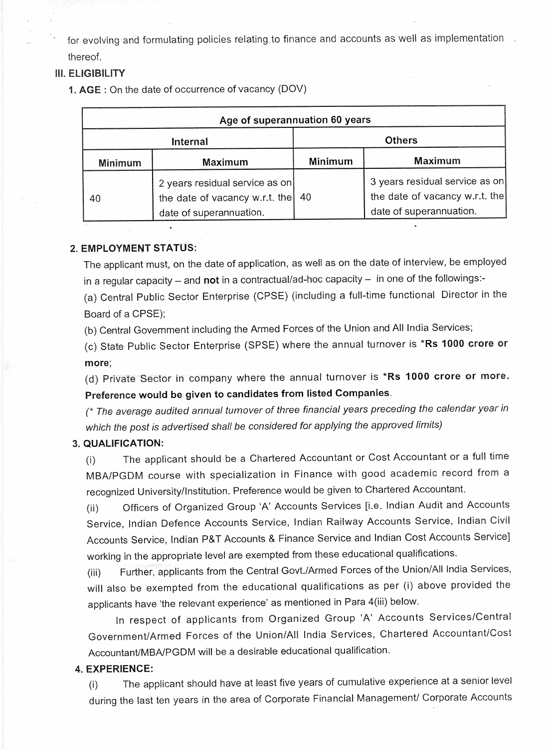for evolving and formulating policies relating to finance and accounts as well as implementation. thereof.

## **III. ELIGIBILITY**

**1. AGE :** On the date of occurrence of vacancy (DOV)

| Age of superannuation 60 years |                                                                                                        |                |                                                                                             |  |
|--------------------------------|--------------------------------------------------------------------------------------------------------|----------------|---------------------------------------------------------------------------------------------|--|
| <b>Internal</b>                |                                                                                                        | <b>Others</b>  |                                                                                             |  |
| <b>Minimum</b>                 | <b>Maximum</b>                                                                                         | <b>Minimum</b> | <b>Maximum</b>                                                                              |  |
| 40                             | 2 years residual service as on<br>the date of vacancy w.r.t. the $\vert$ 40<br>date of superannuation. |                | 3 years residual service as on<br>the date of vacancy w.r.t. the<br>date of superannuation. |  |

## **2. EMPLOYMENT STATUS:**

The applicant must, on the date of application, as well as on the date of interview, be employed in a regular capacity — and **not** in a contractual/ad-hoc capacity — in one of the followings:-

(a) Central Public Sector Enterprise (CPSE) (including a full-time functional Director **in** the Board of a CPSE);

(b) Central Government including the Armed Forces of the Union and All India Services;

(c) State Public Sector Enterprise (SPSE) where the annual turnover is **\*Rs 1000 crore or more;** 

(d) Private Sector in company where the annual turnover is **\*Rs 1000 crore or more. Preference would be given to candidates from listed Companies.** 

(\* The average audited annual turnover of three financial years preceding the calendar year in which the post is advertised shall be considered for applying the approved limits)

## **3. QUALIFICATION:**

(i) The applicant should be a Chartered Accountant or Cost Accountant or a full time MBA/PGDM course with specialization in Finance with good academic record from **a**  recognized University/Institution. Preference would be given to Chartered Accountant.

(ii) Officers of Organized Group 'A' Accounts Services [i.e. Indian Audit and Accounts Service, Indian Defence Accounts Service, Indian Railway Accounts Service, Indian Civil Accounts Service, Indian P&T Accounts & Finance Service and Indian Cost Accounts Service] working in the appropriate level are exempted from these educational qualifications.

(iii) Further, applicants from the Central Govt./Armed Forces of the Union/All India Services, will also be exempted from the educational qualifications as per (i) above provided the applicants have 'the relevant experience' as mentioned in Para 4(iii) below.

In respect of applicants from Organized Group 'A' Accounts Services/Central Government/Armed Forces of the Union/All India Services, Chartered Accountant/Cost Accountant/MBA/PGDM will be a desirable educational qualification.

#### **4. EXPERIENCE:**

(I) The applicant should have at least five years of cumulative experience at a senior level during the last ten years in the area of Corporate Financial Management/ Corporate Accounts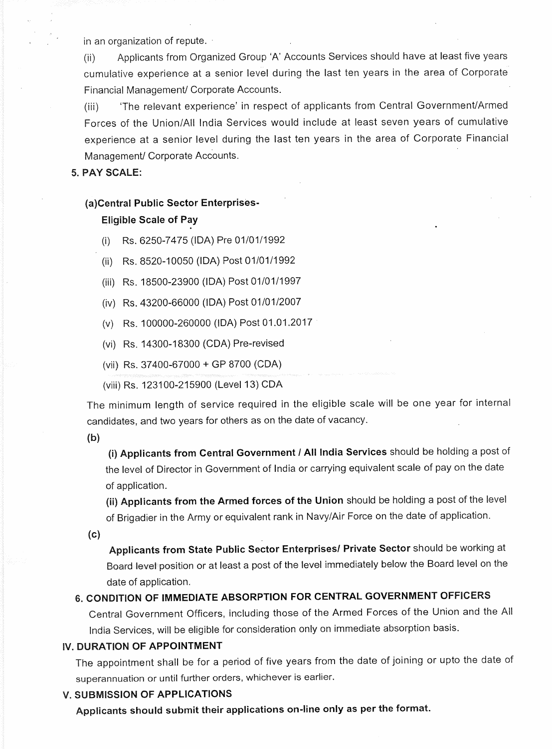in an organization of repute.

(ii) Applicants from Organized Group `A' Accounts Services should have at least five years cumulative experience at a senior level during the last ten years in the area of Corporate Financial Management/ Corporate Accounts.

(iii) 'The relevant experience' in respect of applicants from Central Government/Armed Forces of the Union/All India Services would include at least seven years of cumulative experience at a senior level during the last ten years in the area of Corporate Financial Management/ Corporate Accounts.

### **5. PAY SCALE:**

#### **(a)Central Public Sector Enterprises-**

#### **Eligible Scale of Pay**

- (i) Rs. 6250-7475 (IDA) Pre 01/01/1992
- (ii) Rs. 8520-10050 (IDA) Post 01/01/1992
- (iii) Rs. 18500-23900 (IDA) Post 01/01/1997
- (iv) Rs. 43200-66000 (IDA) Post 01/01/2007
- (v) Rs. 100000-260000 (IDA) Post 01.01.2017
- (vi) Rs. 14300-18300 (CDA) Pre-revised
- (vii) Rs. 37400-67000 + GP 8700 (CDA)
- (viii) Rs. 123100-215900 (Level 13) CDA

The minimum length of service required in the eligible scale will be one year for internal candidates, and two years for others as on the date of vacancy.

**b)** 

(i) Applicants from Central Government / All India Services should be holding a post of the level of Director in Government of India or carrying equivalent scale of pay on the date of application.

**(ii) Applicants from the Armed forces of the Union** should be holding a post of the level of Brigadier in the Army or equivalent rank in Navy/Air Force on the date of application.

(c)

**Applicants from State Public Sector Enterprises/ Private Sector** should be working at Board level position or at least a post of the level immediately below the Board level on the date of application.

## **6. CONDITION OF IMMEDIATE ABSORPTION FOR CENTRAL GOVERNMENT OFFICERS**

Central Government Officers, including those of the Armed Forces of the Union and the **All**  India Services, will be eligible for consideration only on immediate absorption basis.

#### **IV. DURATION OF APPOINTMENT**

The appointment shall be for a period of five years from the date of joining or upto the date o superannuation or until further orders, whichever is earlier.

## **V. SUBMISSION OF APPLICATIONS**

**Applicants should submit their applications on-line only as per the format.**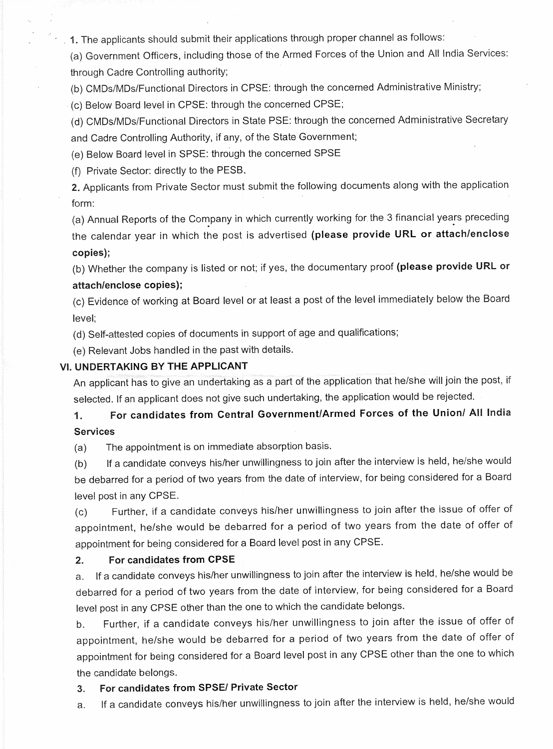**1.** The applicants should submit their applications through proper channel as follows:

(a) Government Officers, including those of the Armed Forces of the Union and All India Services: through Cadre Controlling authority;

(b) CMDs/MDs/Functional Directors in CPSE: through the concerned Administrative Ministry;

(c) Below Board level in CPSE: through the concerned CPSE;

(d) CMDs/MDs/Functional Directors in State PSE: through the concerned Administrative Secretary and Cadre Controlling Authority, if any, of the State Government;

(e) Below Board level in SPSE: through the concerned SPSE

(f) Private Sector: directly to the PESB.

**2.** Applicants from Private Sector must submit the following documents along with the application form:

(a) Annual Reports of the Company in which currently working for the 3 financial years preceding the calendar year in which the post is advertised **(please provide URL or attach/enclose copies);** 

(b) Whether the company is listed or not; if yes, the documentary proof **(please provide URL or attach/enclose copies);** 

(c) Evidence of working at Board level or at least a post of the level immediately below the Board level;

(d) Self-attested copies of documents in support of age and qualifications;

(e) Relevant Jobs handled in the past with details.

## **VI. UNDERTAKING BY THE APPLICANT**

An applicant has to give an undertaking as a part of the application that he/she will join the post, if selected. If an applicant does not give such undertaking, the application would be rejected.

# 1. **For candidates from Central Government/Armed Forces of the Union/ All India Services**

(a) The appointment is on immediate absorption basis.

(b) If a candidate conveys his/her unwillingness to join after the interview is held, he/she would be debarred for a period of two years from the date of interview, for being considered for a Board level post in any CPSE.

(c) Further, if a candidate conveys his/her unwillingness to join after the issue of offer of appointment, he/she would be debarred for a period of two years from the date of offer of appointment for being considered for a Board level post in any CPSE.

## **2. For candidates from CPSE**

a. If a candidate conveys his/her unwillingness to join after the interview is held, he/she would **be**  debarred for a period of two years from the date of interview, for being considered for a Board level post in any CPSE other than the one to which the candidate belongs.

b. Further, if a candidate conveys his/her unwillingness to join after the issue of offer of appointment, he/she would be debarred for a period of two years from the date of offer of appointment for being considered for a Board level post in any CPSE other than the one to which the candidate belongs.

## **3. For candidates from SPSE/ Private Sector**

a. If a candidate conveys his/her unwillingness to join after the interview is held, he/she would